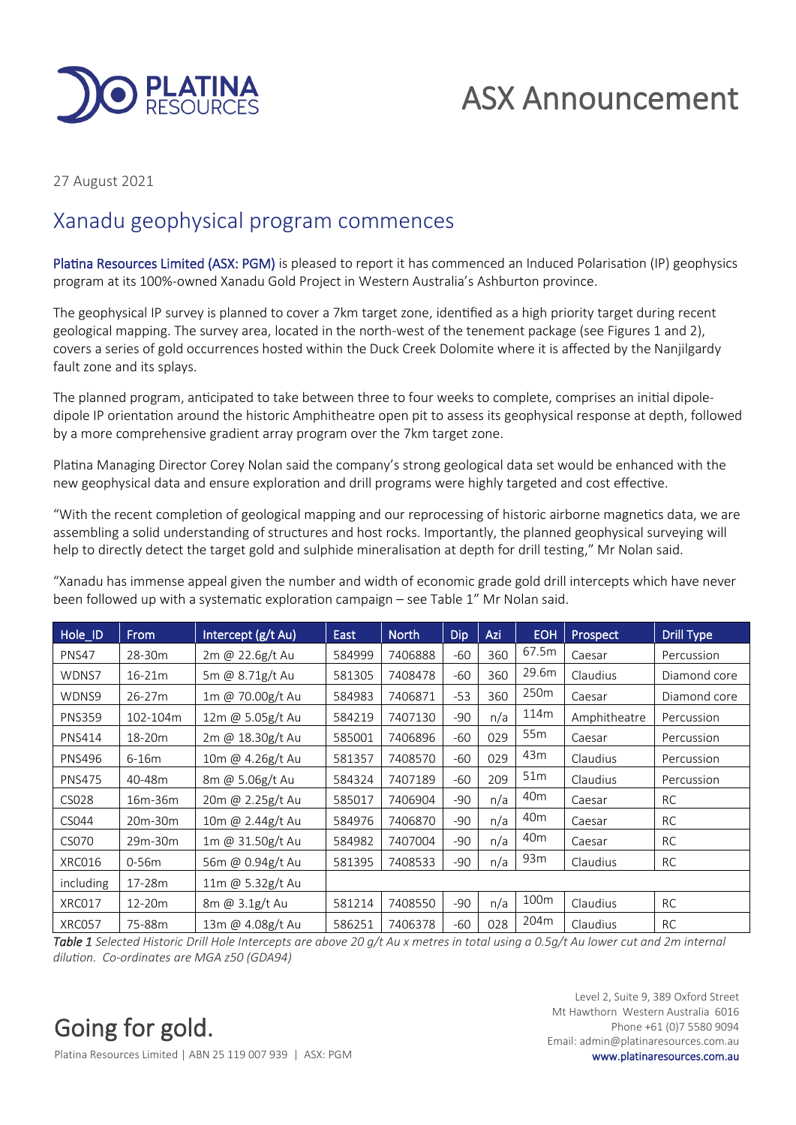

# ASX Announcement

27 August 2021

### Xanadu geophysical program commences

Platina Resources Limited (ASX: PGM) is pleased to report it has commenced an Induced Polarisation (IP) geophysics program at its 100%-owned Xanadu Gold Project in Western Australia's Ashburton province.

The geophysical IP survey is planned to cover a 7km target zone, identified as a high priority target during recent geological mapping. The survey area, located in the north-west of the tenement package (see Figures 1 and 2), covers a series of gold occurrences hosted within the Duck Creek Dolomite where it is affected by the Nanjilgardy fault zone and its splays.

The planned program, anticipated to take between three to four weeks to complete, comprises an initial dipoledipole IP orientation around the historic Amphitheatre open pit to assess its geophysical response at depth, followed by a more comprehensive gradient array program over the 7km target zone.

Platina Managing Director Corey Nolan said the company's strong geological data set would be enhanced with the new geophysical data and ensure exploration and drill programs were highly targeted and cost effective.

"With the recent completion of geological mapping and our reprocessing of historic airborne magnetics data, we are assembling a solid understanding of structures and host rocks. Importantly, the planned geophysical surveying will help to directly detect the target gold and sulphide mineralisation at depth for drill testing," Mr Nolan said.

"Xanadu has immense appeal given the number and width of economic grade gold drill intercepts which have never been followed up with a systematic exploration campaign – see Table 1" Mr Nolan said.

| Hole_ID       | From       | Intercept (g/t Au) | East   | <b>North</b> | Dip   | Azi | <b>EOH</b>       | Prospect     | <b>Drill Type</b> |
|---------------|------------|--------------------|--------|--------------|-------|-----|------------------|--------------|-------------------|
| PNS47         | 28-30m     | 2m @ 22.6g/t Au    | 584999 | 7406888      | -60   | 360 | 67.5m            | Caesar       | Percussion        |
| WDNS7         | 16-21m     | 5m @ 8.71g/t Au    | 581305 | 7408478      | -60   | 360 | 29.6m            | Claudius     | Diamond core      |
| WDNS9         | $26 - 27m$ | 1m @ 70.00g/t Au   | 584983 | 7406871      | $-53$ | 360 | 250 <sub>m</sub> | Caesar       | Diamond core      |
| <b>PNS359</b> | 102-104m   | 12m @ 5.05g/t Au   | 584219 | 7407130      | -90   | n/a | 114m             | Amphitheatre | Percussion        |
| <b>PNS414</b> | 18-20m     | 2m @ 18.30g/t Au   | 585001 | 7406896      | -60   | 029 | 55 <sub>m</sub>  | Caesar       | Percussion        |
| <b>PNS496</b> | $6-16m$    | 10m @ $4.26g/t$ Au | 581357 | 7408570      | -60   | 029 | 43m              | Claudius     | Percussion        |
| <b>PNS475</b> | 40-48m     | 8m @ 5.06g/t Au    | 584324 | 7407189      | -60   | 209 | 51m              | Claudius     | Percussion        |
| CS028         | 16m-36m    | 20m @ 2.25g/t Au   | 585017 | 7406904      | -90   | n/a | 40 <sub>m</sub>  | Caesar       | RC.               |
| CS044         | 20m-30m    | 10m @ 2.44g/t Au   | 584976 | 7406870      | -90   | n/a | 40 <sub>m</sub>  | Caesar       | <b>RC</b>         |
| CS070         | 29m-30m    | 1m @ $31.50g/t$ Au | 584982 | 7407004      | -90   | n/a | 40 <sub>m</sub>  | Caesar       | <b>RC</b>         |
| XRC016        | 0-56m      | 56m @ 0.94g/t Au   | 581395 | 7408533      | -90   | n/a | 93m              | Claudius     | RC                |
| including     | 17-28m     | 11m @ 5.32g/t Au   |        |              |       |     |                  |              |                   |
| XRC017        | $12 - 20m$ | 8m @ $3.1$ g/t Au  | 581214 | 7408550      | -90   | n/a | 100m             | Claudius     | <b>RC</b>         |
| XRC057        | 75-88m     | 13m @ 4.08g/t Au   | 586251 | 7406378      | -60   | 028 | 204m             | Claudius     | <b>RC</b>         |

*Table 1 Selected Historic Drill Hole Intercepts are above 20 g/t Au x metres in total using a 0.5g/t Au lower cut and 2m internal dilution. Co-ordinates are MGA z50 (GDA94)*

## Going for gold.

Level 2, Suite 9, 389 Oxford Street Mt Hawthorn Western Australia 6016 Phone +61 (0)7 5580 9094 Email: admin@platinaresources.com.au

Platina Resources Limited | ABN 25 119 007 939 | ASX: PGM www.platinaresources.com.au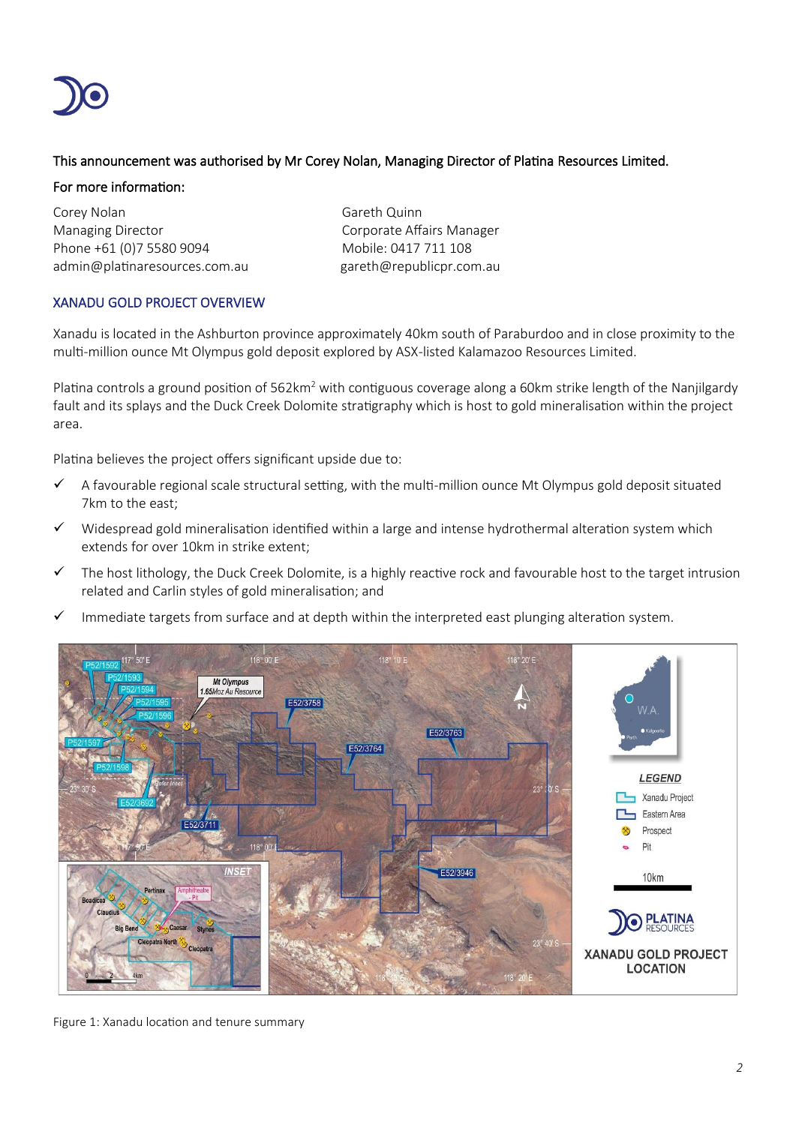

#### This announcement was authorised by Mr Corey Nolan, Managing Director of Platina Resources Limited.

#### For more information:

Corey Nolan Gareth Quinn Managing Director **Communist Communist Corporate Affairs Manager** Phone +61 (0)7 5580 9094 Mobile: 0417 711 108 admin@platinaresources.com.au entitled agareth@republicpr.com.au

#### XANADU GOLD PROJECT OVERVIEW

Xanadu is located in the Ashburton province approximately 40km south of Paraburdoo and in close proximity to the multi-million ounce Mt Olympus gold deposit explored by ASX-listed Kalamazoo Resources Limited.

Platina controls a ground position of 562km<sup>2</sup> with contiguous coverage along a 60km strike length of the Nanjilgardy fault and its splays and the Duck Creek Dolomite stratigraphy which is host to gold mineralisation within the project area.

Platina believes the project offers significant upside due to:

- ✓ A favourable regional scale structural setting, with the multi-million ounce Mt Olympus gold deposit situated 7km to the east;
- $\checkmark$  Widespread gold mineralisation identified within a large and intense hydrothermal alteration system which extends for over 10km in strike extent;
- $\checkmark$  The host lithology, the Duck Creek Dolomite, is a highly reactive rock and favourable host to the target intrusion related and Carlin styles of gold mineralisation; and
- ✓ Immediate targets from surface and at depth within the interpreted east plunging alteration system.



Figure 1: Xanadu location and tenure summary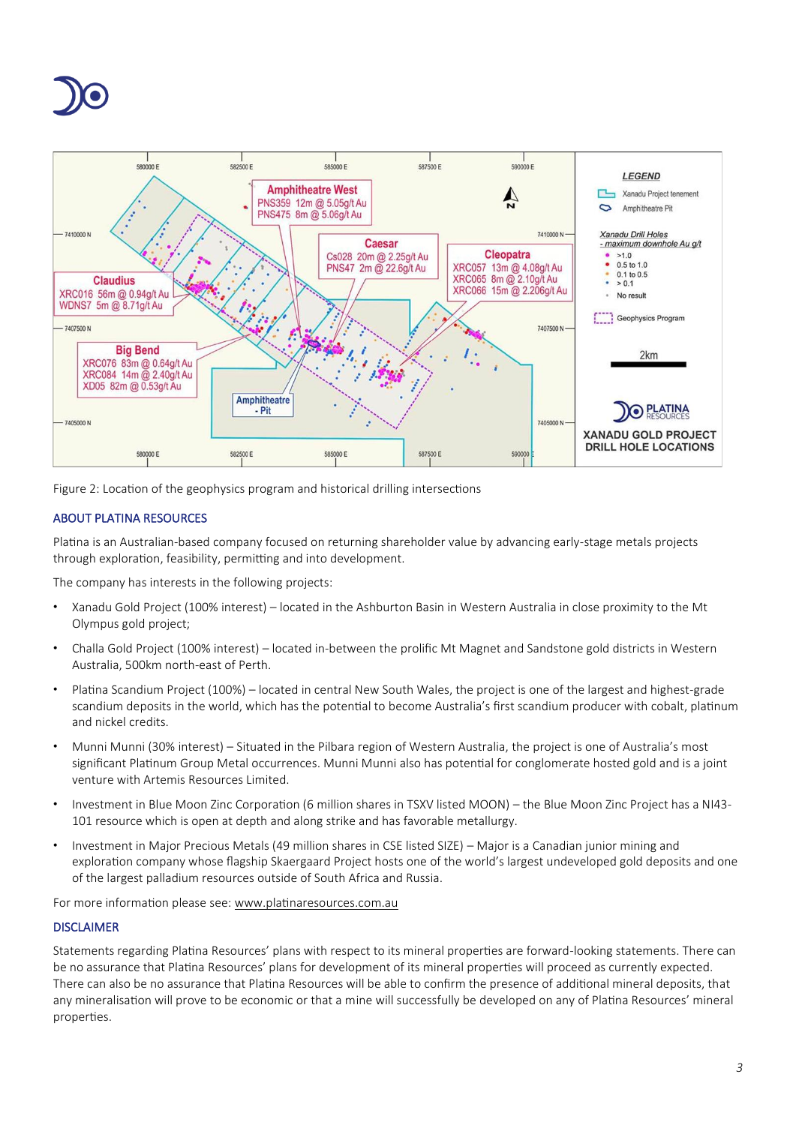



Figure 2: Location of the geophysics program and historical drilling intersections

#### ABOUT PLATINA RESOURCES

Platina is an Australian-based company focused on returning shareholder value by advancing early-stage metals projects through exploration, feasibility, permitting and into development.

The company has interests in the following projects:

- Xanadu Gold Project (100% interest) located in the Ashburton Basin in Western Australia in close proximity to the Mt Olympus gold project;
- Challa Gold Project (100% interest) located in-between the prolific Mt Magnet and Sandstone gold districts in Western Australia, 500km north-east of Perth.
- Platina Scandium Project (100%) located in central New South Wales, the project is one of the largest and highest-grade scandium deposits in the world, which has the potential to become Australia's first scandium producer with cobalt, platinum and nickel credits.
- Munni Munni (30% interest) Situated in the Pilbara region of Western Australia, the project is one of Australia's most significant Platinum Group Metal occurrences. Munni Munni also has potential for conglomerate hosted gold and is a joint venture with Artemis Resources Limited.
- Investment in Blue Moon Zinc Corporation (6 million shares in TSXV listed MOON) the Blue Moon Zinc Project has a NI43- 101 resource which is open at depth and along strike and has favorable metallurgy.
- Investment in Major Precious Metals (49 million shares in CSE listed SIZE) Major is a Canadian junior mining and exploration company whose flagship Skaergaard Project hosts one of the world's largest undeveloped gold deposits and one of the largest palladium resources outside of South Africa and Russia.

For more information please see[: www.platinaresources.com.au](http://www.platinaresources.com.au/)

#### DISCLAIMER

Statements regarding Platina Resources' plans with respect to its mineral properties are forward-looking statements. There can be no assurance that Platina Resources' plans for development of its mineral properties will proceed as currently expected. There can also be no assurance that Platina Resources will be able to confirm the presence of additional mineral deposits, that any mineralisation will prove to be economic or that a mine will successfully be developed on any of Platina Resources' mineral properties.